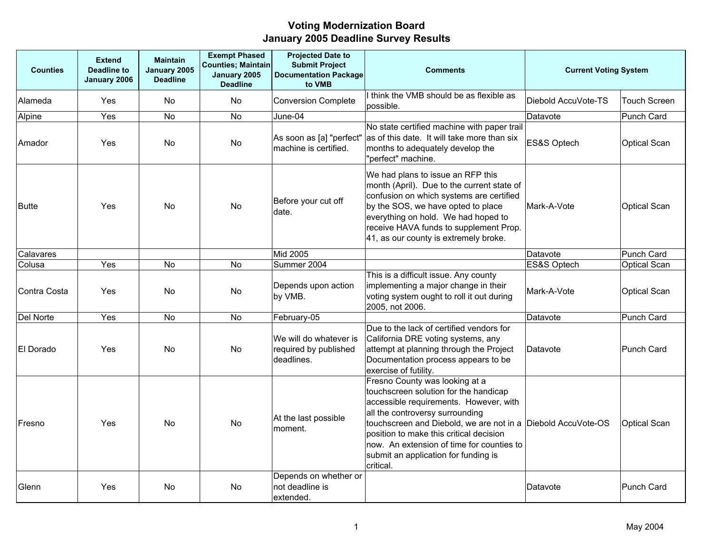| <b>Counties</b> | <b>Extend</b><br><b>Deadline to</b><br>January 2006 | <b>Maintain</b><br>January 2005<br><b>Deadline</b> | <b>Exempt Phased</b><br><b>Counties; Maintain</b><br>January 2005<br><b>Deadline</b> | <b>Projected Date to</b><br><b>Submit Project</b><br><b>Documentation Package</b><br>to VMB | <b>Comments</b>                                                                                                                                                                                                                                                                                                                                                   | <b>Current Voting System</b> |                     |
|-----------------|-----------------------------------------------------|----------------------------------------------------|--------------------------------------------------------------------------------------|---------------------------------------------------------------------------------------------|-------------------------------------------------------------------------------------------------------------------------------------------------------------------------------------------------------------------------------------------------------------------------------------------------------------------------------------------------------------------|------------------------------|---------------------|
| Alameda         | Yes                                                 | <b>No</b>                                          | <b>No</b>                                                                            | <b>Conversion Complete</b>                                                                  | I think the VMB should be as flexible as<br>possible.                                                                                                                                                                                                                                                                                                             | Diebold AccuVote-TS          | <b>Touch Screen</b> |
| Alpine          | Yes                                                 | <b>No</b>                                          | <b>No</b>                                                                            | June-04                                                                                     |                                                                                                                                                                                                                                                                                                                                                                   | Datavote                     | <b>Punch Card</b>   |
| Amador          | Yes                                                 | No                                                 | No                                                                                   | As soon as [a] "perfect"<br>machine is certified.                                           | No state certified machine with paper trail<br>as of this date. It will take more than six<br>months to adequately develop the<br>"perfect" machine.                                                                                                                                                                                                              | ES&S Optech                  | Optical Scan        |
| <b>Butte</b>    | Yes                                                 | <b>No</b>                                          | No                                                                                   | Before your cut off<br>date.                                                                | We had plans to issue an RFP this<br>month (April). Due to the current state of<br>confusion on which systems are certified<br>by the SOS, we have opted to place<br>everything on hold. We had hoped to<br>receive HAVA funds to supplement Prop.<br>41, as our county is extremely broke.                                                                       | Mark-A-Vote                  | <b>Optical Scan</b> |
| Calavares       |                                                     |                                                    |                                                                                      | Mid 2005                                                                                    |                                                                                                                                                                                                                                                                                                                                                                   | Datavote                     | Punch Card          |
| Colusa          | Yes                                                 | <b>No</b>                                          | <b>No</b>                                                                            | Summer 2004                                                                                 |                                                                                                                                                                                                                                                                                                                                                                   | ES&S Optech                  | <b>Optical Scan</b> |
| Contra Costa    | Yes                                                 | No                                                 | No                                                                                   | Depends upon action<br>by VMB.                                                              | This is a difficult issue. Any county<br>implementing a major change in their<br>voting system ought to roll it out during<br>2005, not 2006.                                                                                                                                                                                                                     | Mark-A-Vote                  | <b>Optical Scan</b> |
| Del Norte       | Yes                                                 | <b>No</b>                                          | <b>No</b>                                                                            | February-05                                                                                 |                                                                                                                                                                                                                                                                                                                                                                   | Datavote                     | Punch Card          |
| El Dorado       | Yes                                                 | <b>No</b>                                          | <b>No</b>                                                                            | We will do whatever is<br>required by published<br>deadlines.                               | Due to the lack of certified vendors for<br>California DRE voting systems, any<br>attempt at planning through the Project<br>Documentation process appears to be<br>exercise of futility.                                                                                                                                                                         | Datavote                     | <b>Punch Card</b>   |
| Fresno          | Yes                                                 | <b>No</b>                                          | <b>No</b>                                                                            | At the last possible<br>moment.                                                             | Fresno County was looking at a<br>touchscreen solution for the handicap<br>accessible requirements. However, with<br>all the controversy surrounding<br>touchscreen and Diebold, we are not in a Diebold AccuVote-OS<br>position to make this critical decision<br>now. An extension of time for counties to<br>submit an application for funding is<br>critical. |                              | <b>Optical Scan</b> |
| Glenn           | Yes                                                 | <b>No</b>                                          | <b>No</b>                                                                            | Depends on whether or<br>not deadline is<br>extended.                                       |                                                                                                                                                                                                                                                                                                                                                                   | Datavote                     | Punch Card          |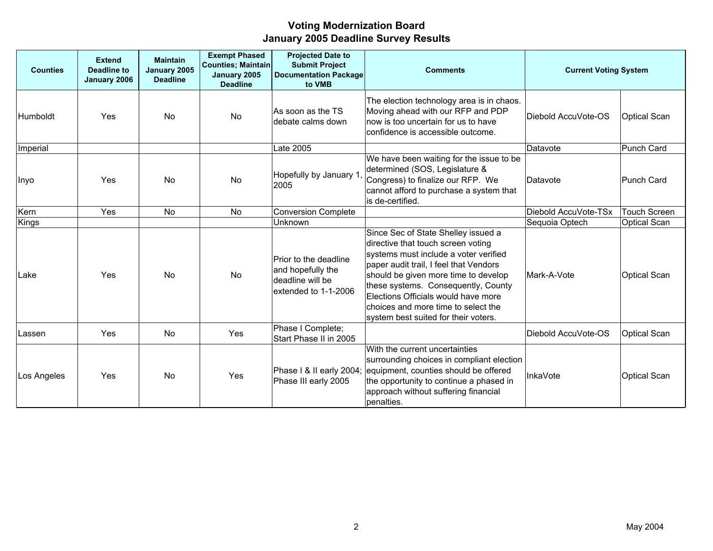| <b>Counties</b> | <b>Extend</b><br><b>Deadline to</b><br>January 2006 | <b>Maintain</b><br>January 2005<br><b>Deadline</b> | <b>Exempt Phased</b><br><b>Counties; Maintain</b><br>January 2005<br><b>Deadline</b> | <b>Projected Date to</b><br><b>Submit Project</b><br><b>Documentation Package</b><br>to VMB | <b>Comments</b>                                                                                                                                                                                                                                                                                                                                                   | <b>Current Voting System</b> |                     |
|-----------------|-----------------------------------------------------|----------------------------------------------------|--------------------------------------------------------------------------------------|---------------------------------------------------------------------------------------------|-------------------------------------------------------------------------------------------------------------------------------------------------------------------------------------------------------------------------------------------------------------------------------------------------------------------------------------------------------------------|------------------------------|---------------------|
| <b>Humboldt</b> | Yes                                                 | <b>No</b>                                          | No                                                                                   | As soon as the TS<br>debate calms down                                                      | The election technology area is in chaos.<br>Moving ahead with our RFP and PDP<br>now is too uncertain for us to have<br>confidence is accessible outcome.                                                                                                                                                                                                        | Diebold AccuVote-OS          | <b>Optical Scan</b> |
| Imperial        |                                                     |                                                    |                                                                                      | Late 2005                                                                                   |                                                                                                                                                                                                                                                                                                                                                                   | Datavote                     | Punch Card          |
| Inyo            | Yes                                                 | <b>No</b>                                          | No                                                                                   | Hopefully by January 1<br>2005                                                              | We have been waiting for the issue to be<br>determined (SOS, Legislature &<br>Congress) to finalize our RFP. We<br>cannot afford to purchase a system that<br>is de-certified.                                                                                                                                                                                    | Datavote                     | <b>Punch Card</b>   |
| Kern            | Yes                                                 | <b>No</b>                                          | No                                                                                   | <b>Conversion Complete</b>                                                                  |                                                                                                                                                                                                                                                                                                                                                                   | Diebold AccuVote-TSx         | Touch Screen        |
| <b>Kings</b>    |                                                     |                                                    |                                                                                      | Unknown                                                                                     |                                                                                                                                                                                                                                                                                                                                                                   | Sequoia Optech               | <b>Optical Scan</b> |
| Lake            | Yes                                                 | <b>No</b>                                          | No                                                                                   | Prior to the deadline<br>and hopefully the<br>deadline will be<br>extended to 1-1-2006      | Since Sec of State Shelley issued a<br>directive that touch screen voting<br>systems must include a voter verified<br>paper audit trail, I feel that Vendors<br>should be given more time to develop<br>these systems. Consequently, County<br>Elections Officials would have more<br>choices and more time to select the<br>system best suited for their voters. | Mark-A-Vote                  | <b>Optical Scan</b> |
| Lassen          | Yes                                                 | No                                                 | Yes                                                                                  | Phase I Complete;<br>Start Phase II in 2005                                                 |                                                                                                                                                                                                                                                                                                                                                                   | Diebold AccuVote-OS          | <b>Optical Scan</b> |
| Los Angeles     | Yes                                                 | <b>No</b>                                          | Yes                                                                                  | Phase III early 2005                                                                        | With the current uncertainties<br>surrounding choices in compliant election<br>Phase I & II early 2004; equipment, counties should be offered<br>the opportunity to continue a phased in<br>approach without suffering financial<br>penalties.                                                                                                                    | InkaVote                     | <b>Optical Scan</b> |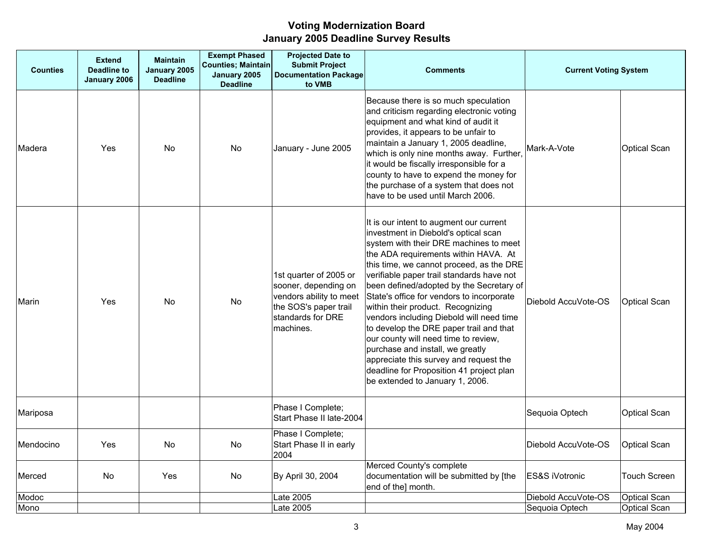| <b>Counties</b> | <b>Extend</b><br><b>Deadline to</b><br>January 2006 | <b>Maintain</b><br>January 2005<br><b>Deadline</b> | <b>Exempt Phased</b><br><b>Counties; Maintain</b><br>January 2005<br><b>Deadline</b> | <b>Projected Date to</b><br><b>Submit Project</b><br><b>Documentation Package</b><br>to VMB                                          | <b>Comments</b>                                                                                                                                                                                                                                                                                                                                                                                                                                                                                                                                                                                                                                                                      | <b>Current Voting System</b> |                     |
|-----------------|-----------------------------------------------------|----------------------------------------------------|--------------------------------------------------------------------------------------|--------------------------------------------------------------------------------------------------------------------------------------|--------------------------------------------------------------------------------------------------------------------------------------------------------------------------------------------------------------------------------------------------------------------------------------------------------------------------------------------------------------------------------------------------------------------------------------------------------------------------------------------------------------------------------------------------------------------------------------------------------------------------------------------------------------------------------------|------------------------------|---------------------|
| Madera          | Yes                                                 | No.                                                | No                                                                                   | January - June 2005                                                                                                                  | Because there is so much speculation<br>and criticism regarding electronic voting<br>equipment and what kind of audit it<br>provides, it appears to be unfair to<br>maintain a January 1, 2005 deadline,<br>which is only nine months away. Further,<br>it would be fiscally irresponsible for a<br>county to have to expend the money for<br>the purchase of a system that does not<br>have to be used until March 2006.                                                                                                                                                                                                                                                            | Mark-A-Vote                  | <b>Optical Scan</b> |
| Marin           | Yes                                                 | <b>No</b>                                          | <b>No</b>                                                                            | 1st quarter of 2005 or<br>sooner, depending on<br>vendors ability to meet<br>the SOS's paper trail<br>standards for DRE<br>machines. | It is our intent to augment our current<br>investment in Diebold's optical scan<br>system with their DRE machines to meet<br>the ADA requirements within HAVA. At<br>this time, we cannot proceed, as the DRE<br>verifiable paper trail standards have not<br>been defined/adopted by the Secretary of<br>State's office for vendors to incorporate<br>within their product. Recognizing<br>vendors including Diebold will need time<br>to develop the DRE paper trail and that<br>our county will need time to review,<br>purchase and install, we greatly<br>appreciate this survey and request the<br>deadline for Proposition 41 project plan<br>be extended to January 1, 2006. | Diebold AccuVote-OS          | <b>Optical Scan</b> |
| Mariposa        |                                                     |                                                    |                                                                                      | Phase I Complete;<br>Start Phase II late-2004                                                                                        |                                                                                                                                                                                                                                                                                                                                                                                                                                                                                                                                                                                                                                                                                      | Sequoia Optech               | <b>Optical Scan</b> |
| Mendocino       | Yes                                                 | No.                                                | No.                                                                                  | Phase I Complete;<br>Start Phase II in early<br>2004                                                                                 |                                                                                                                                                                                                                                                                                                                                                                                                                                                                                                                                                                                                                                                                                      | Diebold AccuVote-OS          | <b>Optical Scan</b> |
| Merced          | No                                                  | Yes                                                | No                                                                                   | By April 30, 2004                                                                                                                    | Merced County's complete<br>documentation will be submitted by [the<br>end of the] month.                                                                                                                                                                                                                                                                                                                                                                                                                                                                                                                                                                                            | ES&S iVotronic               | <b>Touch Screen</b> |
| Modoc           |                                                     |                                                    |                                                                                      | Late 2005                                                                                                                            |                                                                                                                                                                                                                                                                                                                                                                                                                                                                                                                                                                                                                                                                                      | Diebold AccuVote-OS          | <b>Optical Scan</b> |
| Mono            |                                                     |                                                    |                                                                                      | Late 2005                                                                                                                            |                                                                                                                                                                                                                                                                                                                                                                                                                                                                                                                                                                                                                                                                                      | Sequoia Optech               | <b>Optical Scan</b> |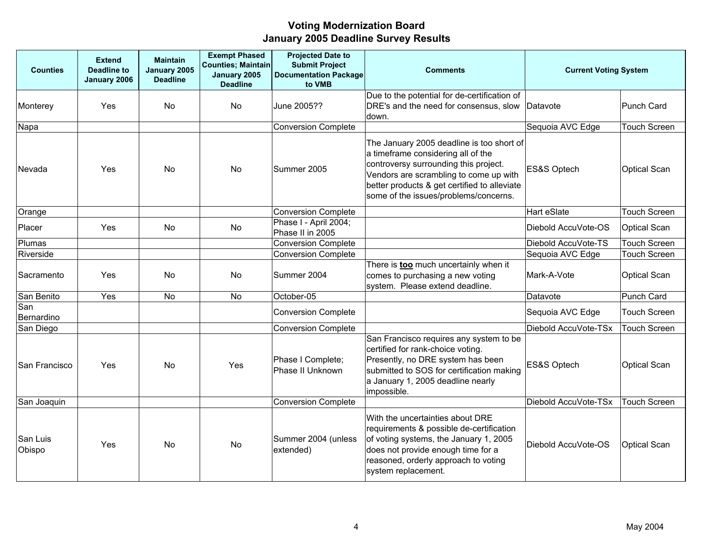| <b>Counties</b>    | <b>Extend</b><br><b>Deadline to</b><br>January 2006 | <b>Maintain</b><br>January 2005<br><b>Deadline</b> | <b>Exempt Phased</b><br>Counties; Maintain<br>January 2005<br><b>Deadline</b> | <b>Projected Date to</b><br><b>Submit Project</b><br><b>Documentation Package</b><br>to VMB | <b>Comments</b>                                                                                                                                                                                                                                             | <b>Current Voting System</b> |                     |
|--------------------|-----------------------------------------------------|----------------------------------------------------|-------------------------------------------------------------------------------|---------------------------------------------------------------------------------------------|-------------------------------------------------------------------------------------------------------------------------------------------------------------------------------------------------------------------------------------------------------------|------------------------------|---------------------|
| Monterey           | Yes                                                 | <b>No</b>                                          | <b>No</b>                                                                     | June 2005??                                                                                 | Due to the potential for de-certification of<br>DRE's and the need for consensus, slow<br>down.                                                                                                                                                             | Datavote                     | Punch Card          |
| Napa               |                                                     |                                                    |                                                                               | <b>Conversion Complete</b>                                                                  |                                                                                                                                                                                                                                                             | Sequoia AVC Edge             | <b>Touch Screen</b> |
| Nevada             | Yes                                                 | <b>No</b>                                          | <b>No</b>                                                                     | Summer 2005                                                                                 | The January 2005 deadline is too short of<br>a timeframe considering all of the<br>controversy surrounding this project.<br>Vendors are scrambling to come up with<br>better products & get certified to alleviate<br>some of the issues/problems/concerns. | ES&S Optech                  | Optical Scan        |
| Orange             |                                                     |                                                    |                                                                               | <b>Conversion Complete</b>                                                                  |                                                                                                                                                                                                                                                             | Hart eSlate                  | <b>Touch Screen</b> |
| Placer             | Yes                                                 | No.                                                | No                                                                            | Phase I - April 2004;<br>Phase II in 2005                                                   |                                                                                                                                                                                                                                                             | Diebold AccuVote-OS          | Optical Scan        |
| Plumas             |                                                     |                                                    |                                                                               | <b>Conversion Complete</b>                                                                  |                                                                                                                                                                                                                                                             | Diebold AccuVote-TS          | <b>Touch Screen</b> |
| Riverside          |                                                     |                                                    |                                                                               | <b>Conversion Complete</b>                                                                  |                                                                                                                                                                                                                                                             | Sequoia AVC Edge             | <b>Touch Screen</b> |
| Sacramento         | Yes                                                 | <b>No</b>                                          | <b>No</b>                                                                     | Summer 2004                                                                                 | There is <b>too</b> much uncertainly when it<br>comes to purchasing a new voting<br>system. Please extend deadline.                                                                                                                                         | Mark-A-Vote                  | Optical Scan        |
| San Benito         | Yes                                                 | <b>No</b>                                          | No                                                                            | October-05                                                                                  |                                                                                                                                                                                                                                                             | Datavote                     | Punch Card          |
| San<br>Bernardino  |                                                     |                                                    |                                                                               | <b>Conversion Complete</b>                                                                  |                                                                                                                                                                                                                                                             | Sequoia AVC Edge             | <b>Touch Screen</b> |
| San Diego          |                                                     |                                                    |                                                                               | <b>Conversion Complete</b>                                                                  |                                                                                                                                                                                                                                                             | Diebold AccuVote-TSx         | <b>Touch Screen</b> |
| San Francisco      | Yes                                                 | <b>No</b>                                          | Yes                                                                           | Phase I Complete;<br>Phase II Unknown                                                       | San Francisco requires any system to be<br>certified for rank-choice voting.<br>Presently, no DRE system has been<br>submitted to SOS for certification making<br>a January 1, 2005 deadline nearly<br>impossible.                                          | ES&S Optech                  | Optical Scan        |
| San Joaquin        |                                                     |                                                    |                                                                               | <b>Conversion Complete</b>                                                                  |                                                                                                                                                                                                                                                             | Diebold AccuVote-TSx         | <b>Touch Screen</b> |
| San Luis<br>Obispo | Yes                                                 | <b>No</b>                                          | No                                                                            | Summer 2004 (unless<br>extended)                                                            | With the uncertainties about DRE<br>requirements & possible de-certification<br>of voting systems, the January 1, 2005<br>does not provide enough time for a<br>reasoned, orderly approach to voting<br>system replacement.                                 | Diebold AccuVote-OS          | <b>Optical Scan</b> |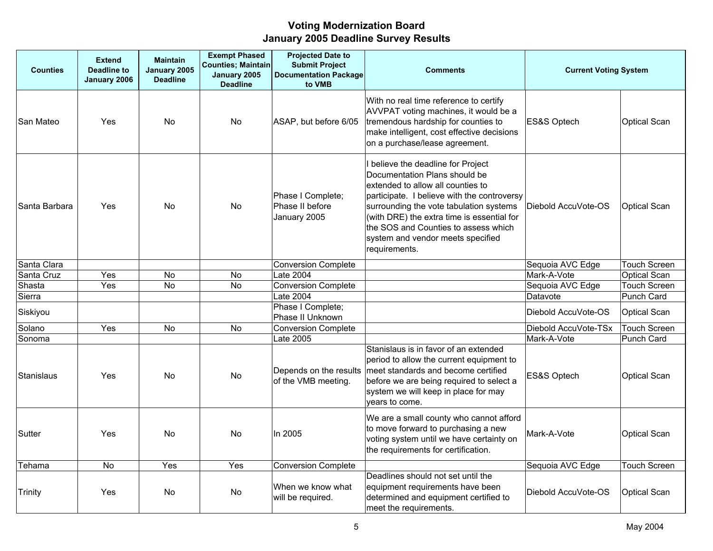| <b>Counties</b> | <b>Extend</b><br><b>Deadline to</b><br>January 2006 | <b>Maintain</b><br>January 2005<br><b>Deadline</b> | <b>Exempt Phased</b><br><b>Counties; Maintain</b><br>January 2005<br><b>Deadline</b> | <b>Projected Date to</b><br><b>Submit Project</b><br><b>Documentation Package</b><br>to VMB | <b>Comments</b>                                                                                                                                                                                                                                                                                                                                | <b>Current Voting System</b> |                     |
|-----------------|-----------------------------------------------------|----------------------------------------------------|--------------------------------------------------------------------------------------|---------------------------------------------------------------------------------------------|------------------------------------------------------------------------------------------------------------------------------------------------------------------------------------------------------------------------------------------------------------------------------------------------------------------------------------------------|------------------------------|---------------------|
| San Mateo       | Yes                                                 | No                                                 | No                                                                                   | ASAP, but before 6/05                                                                       | With no real time reference to certify<br>AVVPAT voting machines, it would be a<br>tremendous hardship for counties to<br>make intelligent, cost effective decisions<br>on a purchase/lease agreement.                                                                                                                                         | ES&S Optech                  | <b>Optical Scan</b> |
| Santa Barbara   | Yes                                                 | No                                                 | No                                                                                   | Phase I Complete;<br>Phase II before<br>January 2005                                        | I believe the deadline for Project<br>Documentation Plans should be<br>extended to allow all counties to<br>participate. I believe with the controversy<br>surrounding the vote tabulation systems<br>(with DRE) the extra time is essential for<br>the SOS and Counties to assess which<br>system and vendor meets specified<br>requirements. | Diebold AccuVote-OS          | <b>Optical Scan</b> |
| Santa Clara     |                                                     |                                                    |                                                                                      | <b>Conversion Complete</b>                                                                  |                                                                                                                                                                                                                                                                                                                                                | Sequoia AVC Edge             | <b>Touch Screen</b> |
| Santa Cruz      | Yes                                                 | <b>No</b>                                          | No                                                                                   | Late 2004                                                                                   |                                                                                                                                                                                                                                                                                                                                                | Mark-A-Vote                  | <b>Optical Scan</b> |
| Shasta          | Yes                                                 | No                                                 | No                                                                                   | <b>Conversion Complete</b>                                                                  |                                                                                                                                                                                                                                                                                                                                                | Sequoia AVC Edge             | <b>Touch Screen</b> |
| Sierra          |                                                     |                                                    |                                                                                      | Late 2004                                                                                   |                                                                                                                                                                                                                                                                                                                                                | Datavote                     | Punch Card          |
| Siskiyou        |                                                     |                                                    |                                                                                      | Phase I Complete;<br>Phase II Unknown                                                       |                                                                                                                                                                                                                                                                                                                                                | Diebold AccuVote-OS          | <b>Optical Scan</b> |
| Solano          | Yes                                                 | <b>No</b>                                          | <b>No</b>                                                                            | <b>Conversion Complete</b>                                                                  |                                                                                                                                                                                                                                                                                                                                                | Diebold AccuVote-TSx         | <b>Touch Screen</b> |
| Sonoma          |                                                     |                                                    |                                                                                      | Late 2005                                                                                   |                                                                                                                                                                                                                                                                                                                                                | Mark-A-Vote                  | <b>Punch Card</b>   |
| Stanislaus      | Yes                                                 | No                                                 | No                                                                                   | of the VMB meeting.                                                                         | Stanislaus is in favor of an extended<br>period to allow the current equipment to<br>Depends on the results meet standards and become certified<br>before we are being required to select a<br>system we will keep in place for may<br>years to come.                                                                                          | ES&S Optech                  | <b>Optical Scan</b> |
| Sutter          | Yes                                                 | No                                                 | No                                                                                   | In 2005                                                                                     | We are a small county who cannot afford<br>to move forward to purchasing a new<br>voting system until we have certainty on<br>the requirements for certification.                                                                                                                                                                              | Mark-A-Vote                  | <b>Optical Scan</b> |
| Tehama          | No                                                  | Yes                                                | Yes                                                                                  | <b>Conversion Complete</b>                                                                  |                                                                                                                                                                                                                                                                                                                                                | Sequoia AVC Edge             | <b>Touch Screen</b> |
| <b>Trinity</b>  | Yes                                                 | No                                                 | No.                                                                                  | When we know what<br>will be required.                                                      | Deadlines should not set until the<br>equipment requirements have been<br>determined and equipment certified to<br>meet the requirements.                                                                                                                                                                                                      | Diebold AccuVote-OS          | <b>Optical Scan</b> |